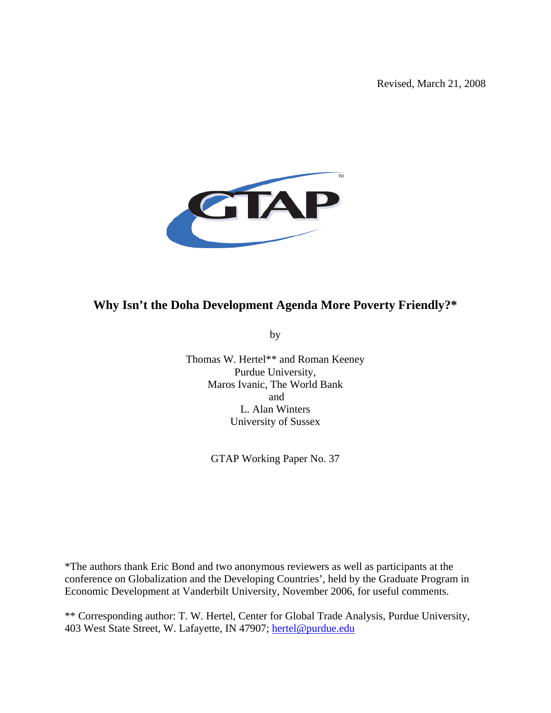Revised, March 21, 2008



# **Why Isn't the Doha Development Agenda More Poverty Friendly?\***

by

Thomas W. Hertel\*\* and Roman Keeney Purdue University, Maros Ivanic, The World Bank and L. Alan Winters University of Sussex

GTAP Working Paper No. 37

\*The authors thank Eric Bond and two anonymous reviewers as well as participants at the conference on Globalization and the Developing Countries', held by the Graduate Program in Economic Development at Vanderbilt University, November 2006, for useful comments.

\*\* Corresponding author: T. W. Hertel, Center for Global Trade Analysis, Purdue University, 403 West State Street, W. Lafayette, IN 47907; hertel@purdue.edu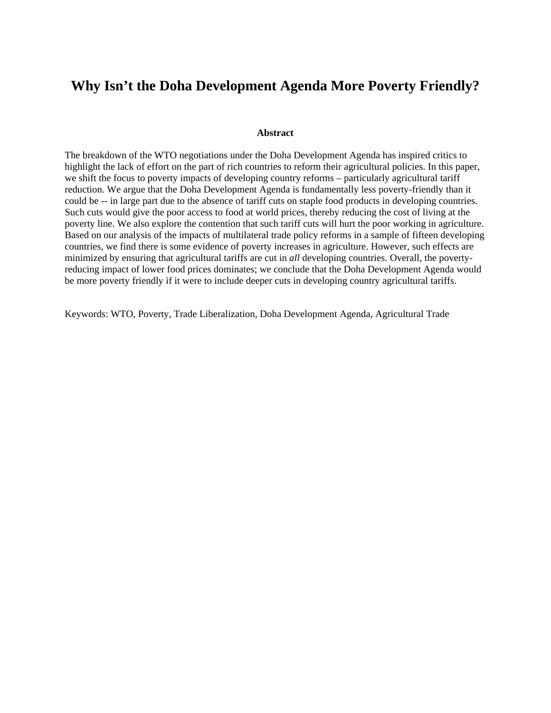# **Why Isn't the Doha Development Agenda More Poverty Friendly?**

#### **Abstract**

The breakdown of the WTO negotiations under the Doha Development Agenda has inspired critics to highlight the lack of effort on the part of rich countries to reform their agricultural policies. In this paper, we shift the focus to poverty impacts of developing country reforms – particularly agricultural tariff reduction. We argue that the Doha Development Agenda is fundamentally less poverty-friendly than it could be -- in large part due to the absence of tariff cuts on staple food products in developing countries. Such cuts would give the poor access to food at world prices, thereby reducing the cost of living at the poverty line. We also explore the contention that such tariff cuts will hurt the poor working in agriculture. Based on our analysis of the impacts of multilateral trade policy reforms in a sample of fifteen developing countries, we find there is some evidence of poverty increases in agriculture. However, such effects are minimized by ensuring that agricultural tariffs are cut in *all* developing countries. Overall, the povertyreducing impact of lower food prices dominates; we conclude that the Doha Development Agenda would be more poverty friendly if it were to include deeper cuts in developing country agricultural tariffs.

Keywords: WTO, Poverty, Trade Liberalization, Doha Development Agenda, Agricultural Trade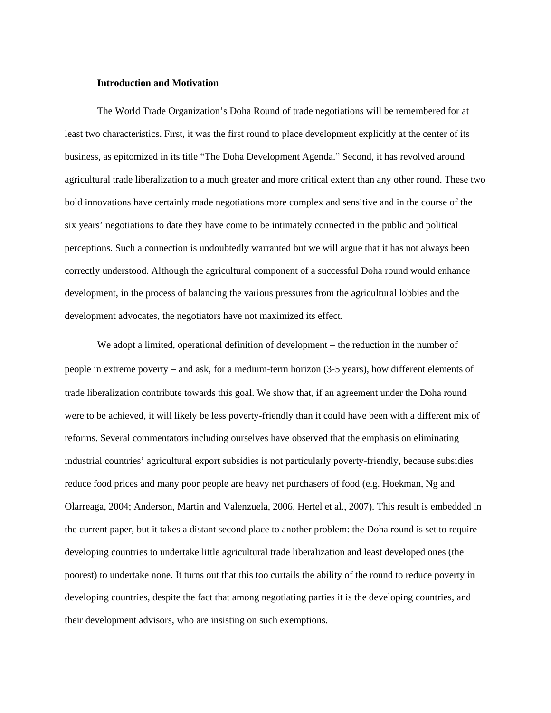#### **Introduction and Motivation**

The World Trade Organization's Doha Round of trade negotiations will be remembered for at least two characteristics. First, it was the first round to place development explicitly at the center of its business, as epitomized in its title "The Doha Development Agenda." Second, it has revolved around agricultural trade liberalization to a much greater and more critical extent than any other round. These two bold innovations have certainly made negotiations more complex and sensitive and in the course of the six years' negotiations to date they have come to be intimately connected in the public and political perceptions. Such a connection is undoubtedly warranted but we will argue that it has not always been correctly understood. Although the agricultural component of a successful Doha round would enhance development, in the process of balancing the various pressures from the agricultural lobbies and the development advocates, the negotiators have not maximized its effect.

We adopt a limited, operational definition of development − the reduction in the number of people in extreme poverty − and ask, for a medium-term horizon (3-5 years), how different elements of trade liberalization contribute towards this goal. We show that, if an agreement under the Doha round were to be achieved, it will likely be less poverty-friendly than it could have been with a different mix of reforms. Several commentators including ourselves have observed that the emphasis on eliminating industrial countries' agricultural export subsidies is not particularly poverty-friendly, because subsidies reduce food prices and many poor people are heavy net purchasers of food (e.g. Hoekman, Ng and Olarreaga, 2004; Anderson, Martin and Valenzuela, 2006, Hertel et al., 2007). This result is embedded in the current paper, but it takes a distant second place to another problem: the Doha round is set to require developing countries to undertake little agricultural trade liberalization and least developed ones (the poorest) to undertake none. It turns out that this too curtails the ability of the round to reduce poverty in developing countries, despite the fact that among negotiating parties it is the developing countries, and their development advisors, who are insisting on such exemptions.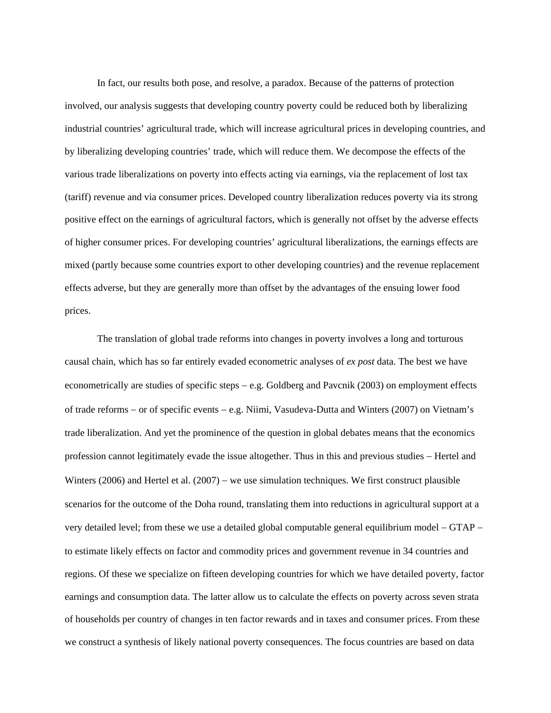In fact, our results both pose, and resolve, a paradox. Because of the patterns of protection involved, our analysis suggests that developing country poverty could be reduced both by liberalizing industrial countries' agricultural trade, which will increase agricultural prices in developing countries, and by liberalizing developing countries' trade, which will reduce them. We decompose the effects of the various trade liberalizations on poverty into effects acting via earnings, via the replacement of lost tax (tariff) revenue and via consumer prices. Developed country liberalization reduces poverty via its strong positive effect on the earnings of agricultural factors, which is generally not offset by the adverse effects of higher consumer prices. For developing countries' agricultural liberalizations, the earnings effects are mixed (partly because some countries export to other developing countries) and the revenue replacement effects adverse, but they are generally more than offset by the advantages of the ensuing lower food prices.

The translation of global trade reforms into changes in poverty involves a long and torturous causal chain, which has so far entirely evaded econometric analyses of *ex post* data. The best we have econometrically are studies of specific steps − e.g. Goldberg and Pavcnik (2003) on employment effects of trade reforms − or of specific events − e.g. Niimi, Vasudeva-Dutta and Winters (2007) on Vietnam's trade liberalization. And yet the prominence of the question in global debates means that the economics profession cannot legitimately evade the issue altogether. Thus in this and previous studies − Hertel and Winters (2006) and Hertel et al. (2007) − we use simulation techniques. We first construct plausible scenarios for the outcome of the Doha round, translating them into reductions in agricultural support at a very detailed level; from these we use a detailed global computable general equilibrium model − GTAP − to estimate likely effects on factor and commodity prices and government revenue in 34 countries and regions. Of these we specialize on fifteen developing countries for which we have detailed poverty, factor earnings and consumption data. The latter allow us to calculate the effects on poverty across seven strata of households per country of changes in ten factor rewards and in taxes and consumer prices. From these we construct a synthesis of likely national poverty consequences. The focus countries are based on data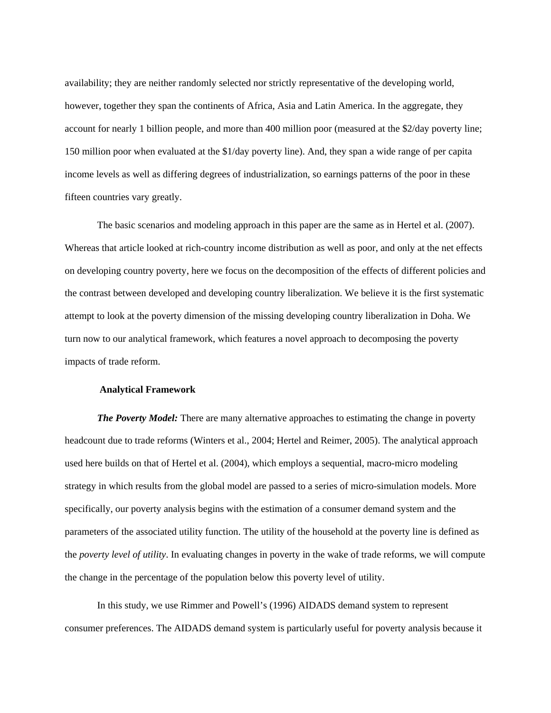availability; they are neither randomly selected nor strictly representative of the developing world, however, together they span the continents of Africa, Asia and Latin America. In the aggregate, they account for nearly 1 billion people, and more than 400 million poor (measured at the \$2/day poverty line; 150 million poor when evaluated at the \$1/day poverty line). And, they span a wide range of per capita income levels as well as differing degrees of industrialization, so earnings patterns of the poor in these fifteen countries vary greatly.

The basic scenarios and modeling approach in this paper are the same as in Hertel et al. (2007). Whereas that article looked at rich-country income distribution as well as poor, and only at the net effects on developing country poverty, here we focus on the decomposition of the effects of different policies and the contrast between developed and developing country liberalization. We believe it is the first systematic attempt to look at the poverty dimension of the missing developing country liberalization in Doha. We turn now to our analytical framework, which features a novel approach to decomposing the poverty impacts of trade reform.

#### **Analytical Framework**

*The Poverty Model:* There are many alternative approaches to estimating the change in poverty headcount due to trade reforms (Winters et al., 2004; Hertel and Reimer, 2005). The analytical approach used here builds on that of Hertel et al. (2004), which employs a sequential, macro-micro modeling strategy in which results from the global model are passed to a series of micro-simulation models. More specifically, our poverty analysis begins with the estimation of a consumer demand system and the parameters of the associated utility function. The utility of the household at the poverty line is defined as the *poverty level of utility*. In evaluating changes in poverty in the wake of trade reforms, we will compute the change in the percentage of the population below this poverty level of utility.

In this study, we use Rimmer and Powell's (1996) AIDADS demand system to represent consumer preferences. The AIDADS demand system is particularly useful for poverty analysis because it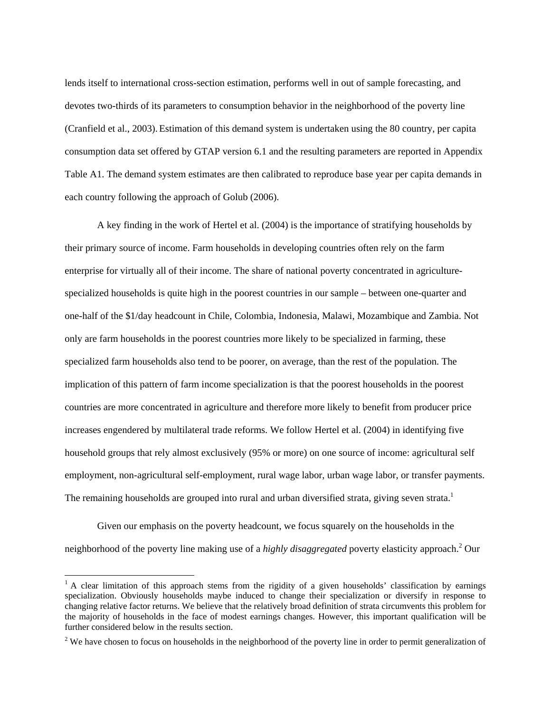lends itself to international cross-section estimation, performs well in out of sample forecasting, and devotes two-thirds of its parameters to consumption behavior in the neighborhood of the poverty line (Cranfield et al., 2003). Estimation of this demand system is undertaken using the 80 country, per capita consumption data set offered by GTAP version 6.1 and the resulting parameters are reported in Appendix Table A1. The demand system estimates are then calibrated to reproduce base year per capita demands in each country following the approach of Golub (2006).

A key finding in the work of Hertel et al. (2004) is the importance of stratifying households by their primary source of income. Farm households in developing countries often rely on the farm enterprise for virtually all of their income. The share of national poverty concentrated in agriculturespecialized households is quite high in the poorest countries in our sample – between one-quarter and one-half of the \$1/day headcount in Chile, Colombia, Indonesia, Malawi, Mozambique and Zambia. Not only are farm households in the poorest countries more likely to be specialized in farming, these specialized farm households also tend to be poorer, on average, than the rest of the population. The implication of this pattern of farm income specialization is that the poorest households in the poorest countries are more concentrated in agriculture and therefore more likely to benefit from producer price increases engendered by multilateral trade reforms. We follow Hertel et al. (2004) in identifying five household groups that rely almost exclusively (95% or more) on one source of income: agricultural self employment, non-agricultural self-employment, rural wage labor, urban wage labor, or transfer payments. The remaining households are grouped into rural and urban diversified strata, giving seven strata.<sup>1</sup>

Given our emphasis on the poverty headcount, we focus squarely on the households in the neighborhood of the poverty line making use of a *highly disaggregated* poverty elasticity approach.<sup>2</sup> Our

 $\overline{a}$ 

<sup>&</sup>lt;sup>1</sup> A clear limitation of this approach stems from the rigidity of a given households' classification by earnings specialization. Obviously households maybe induced to change their specialization or diversify in response to changing relative factor returns. We believe that the relatively broad definition of strata circumvents this problem for the majority of households in the face of modest earnings changes. However, this important qualification will be further considered below in the results section.

 $2^2$  We have chosen to focus on households in the neighborhood of the poverty line in order to permit generalization of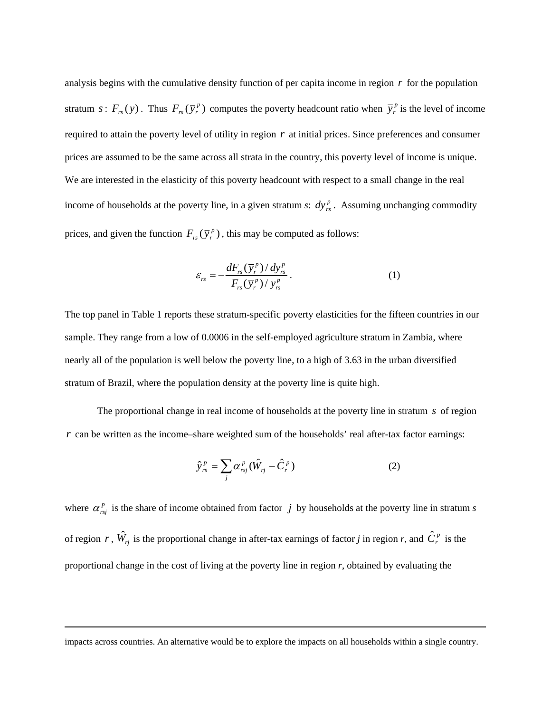analysis begins with the cumulative density function of per capita income in region *r* for the population stratum  $s: F_{rs}(y)$ . Thus  $F_{rs}(\bar{y}_r^p)$  computes the poverty headcount ratio when  $\bar{y}_r^p$  is the level of income required to attain the poverty level of utility in region *r* at initial prices. Since preferences and consumer prices are assumed to be the same across all strata in the country, this poverty level of income is unique. We are interested in the elasticity of this poverty headcount with respect to a small change in the real income of households at the poverty line, in a given stratum *s*:  $dy_{rs}^p$ . Assuming unchanging commodity prices, and given the function  $F_{rs}(\bar{y}_r^p)$ , this may be computed as follows:

$$
\varepsilon_{rs} = -\frac{dF_{rs}(\bar{y}_r^p)/dy_{rs}^p}{F_{rs}(\bar{y}_r^p)/y_{rs}^p}.
$$
 (1)

The top panel in Table 1 reports these stratum-specific poverty elasticities for the fifteen countries in our sample. They range from a low of 0.0006 in the self-employed agriculture stratum in Zambia, where nearly all of the population is well below the poverty line, to a high of 3.63 in the urban diversified stratum of Brazil, where the population density at the poverty line is quite high.

The proportional change in real income of households at the poverty line in stratum *s* of region *r* can be written as the income–share weighted sum of the households' real after-tax factor earnings:

$$
\hat{\mathbf{y}}_{rs}^p = \sum_j \alpha_{rsj}^p (\hat{W}_{rj} - \hat{C}_r^p)
$$
 (2)

where  $\alpha_{rsj}^p$  is the share of income obtained from factor *j* by households at the poverty line in stratum *s* of region *r*,  $\hat{W}_{rj}$  is the proportional change in after-tax earnings of factor *j* in region *r*, and  $\hat{C}_r^p$  is the proportional change in the cost of living at the poverty line in region *r*, obtained by evaluating the

impacts across countries. An alternative would be to explore the impacts on all households within a single country.

 $\overline{a}$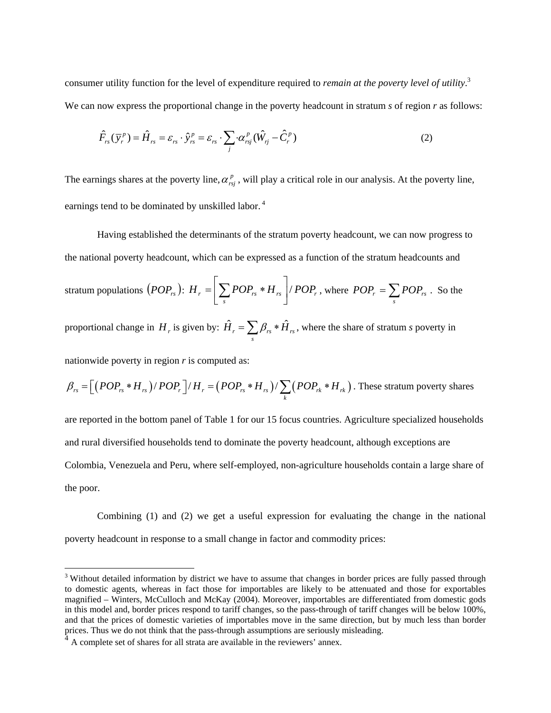consumer utility function for the level of expenditure required to *remain at the poverty level of utility*. 3 We can now express the proportional change in the poverty headcount in stratum *s* of region *r* as follows:

$$
\hat{F}_{rs}(\overline{y}_r^p) = \hat{H}_{rs} = \varepsilon_{rs} \cdot \hat{y}_{rs}^p = \varepsilon_{rs} \cdot \sum_j \alpha_{rsj}^p (\hat{W}_{rj} - \hat{C}_r^p)
$$
\n(2)

The earnings shares at the poverty line,  $\alpha_{rsj}^p$ , will play a critical role in our analysis. At the poverty line, earnings tend to be dominated by unskilled labor.<sup>4</sup>

Having established the determinants of the stratum poverty headcount, we can now progress to the national poverty headcount, which can be expressed as a function of the stratum headcounts and stratum populations  $\left( POP_{rs} \right): \text{ } H_{r}=\big|\sum POP_{rs}*H_{rs}\big|/POP_{r}$  $H_r = \left(\sum_s POP_{rs} * H_{rs}\right) / POP_r$ , where  $POP_r = \sum_s$  $POP_r = \sum POP_{rs}$ . So the proportional change in  $H_r$  is given by:  $\hat{H}_r = \sum \beta_{rs} * \hat{H}_{rs}$  $\hat{H}_r = \sum_s \beta_{rs} * \hat{H}_{rs}$ , where the share of stratum *s* poverty in

nationwide poverty in region *r* is computed as:

 $\overline{a}$ 

$$
\beta_{rs} = \left[ \left( POP_{rs} * H_{rs} \right) / POP_{r} \right] / H_{r} = \left( POP_{rs} * H_{rs} \right) / \sum_{k} \left( POP_{rk} * H_{rk} \right)
$$
. These stratum powerty shares

are reported in the bottom panel of Table 1 for our 15 focus countries. Agriculture specialized households and rural diversified households tend to dominate the poverty headcount, although exceptions are Colombia, Venezuela and Peru, where self-employed, non-agriculture households contain a large share of the poor.

Combining (1) and (2) we get a useful expression for evaluating the change in the national poverty headcount in response to a small change in factor and commodity prices:

 $3$  Without detailed information by district we have to assume that changes in border prices are fully passed through to domestic agents, whereas in fact those for importables are likely to be attenuated and those for exportables magnified – Winters, McCulloch and McKay (2004). Moreover, importables are differentiated from domestic gods in this model and, border prices respond to tariff changes, so the pass-through of tariff changes will be below 100%, and that the prices of domestic varieties of importables move in the same direction, but by much less than border prices. Thus we do not think that the pass-through assumptions are seriously misleading.

 $4 \text{ A complete set of shares for all strata are available in the reviewers' annex.}$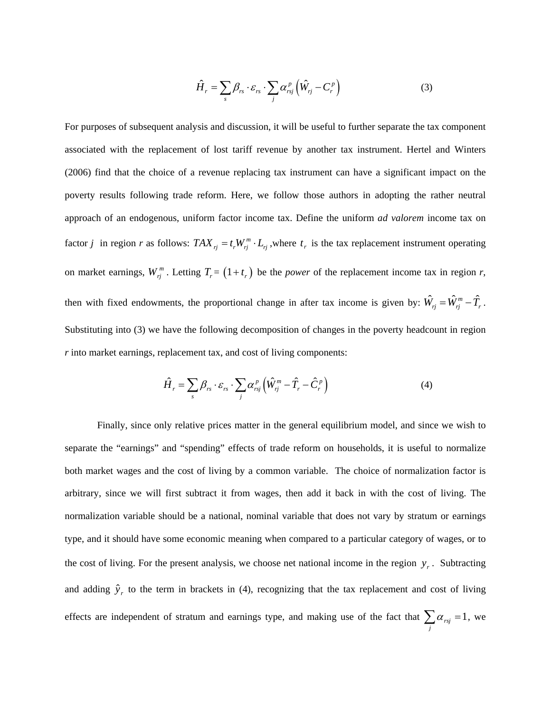$$
\hat{H}_r = \sum_s \beta_{rs} \cdot \varepsilon_{rs} \cdot \sum_j \alpha_{rsj}^p \left( \hat{W}_{rj} - C_r^p \right)
$$
 (3)

For purposes of subsequent analysis and discussion, it will be useful to further separate the tax component associated with the replacement of lost tariff revenue by another tax instrument. Hertel and Winters (2006) find that the choice of a revenue replacing tax instrument can have a significant impact on the poverty results following trade reform. Here, we follow those authors in adopting the rather neutral approach of an endogenous, uniform factor income tax. Define the uniform *ad valorem* income tax on factor *j* in region *r* as follows:  $TAX_{rj} = t_rW_{rj}^m \cdot L_{rj}$ , where  $t_r$  is the tax replacement instrument operating on market earnings,  $W_{rj}^m$ . Letting  $T_r = (1 + t_r)$  be the *power* of the replacement income tax in region *r*, then with fixed endowments, the proportional change in after tax income is given by:  $\hat{W}_{rj} = \hat{W}_{rj}^m - \hat{T}_r$ . Substituting into (3) we have the following decomposition of changes in the poverty headcount in region *r* into market earnings, replacement tax, and cost of living components:

$$
\hat{H}_r = \sum_s \beta_{rs} \cdot \varepsilon_{rs} \cdot \sum_j \alpha_{rsj}^p \left( \hat{W}_{rj}^m - \hat{T}_r - \hat{C}_r^p \right)
$$
(4)

Finally, since only relative prices matter in the general equilibrium model, and since we wish to separate the "earnings" and "spending" effects of trade reform on households, it is useful to normalize both market wages and the cost of living by a common variable. The choice of normalization factor is arbitrary, since we will first subtract it from wages, then add it back in with the cost of living. The normalization variable should be a national, nominal variable that does not vary by stratum or earnings type, and it should have some economic meaning when compared to a particular category of wages, or to the cost of living. For the present analysis, we choose net national income in the region  $y_r$ . Subtracting and adding  $\hat{y}_r$  to the term in brackets in (4), recognizing that the tax replacement and cost of living effects are independent of stratum and earnings type, and making use of the fact that  $\sum_{j} \alpha_{rsj} = 1$ , we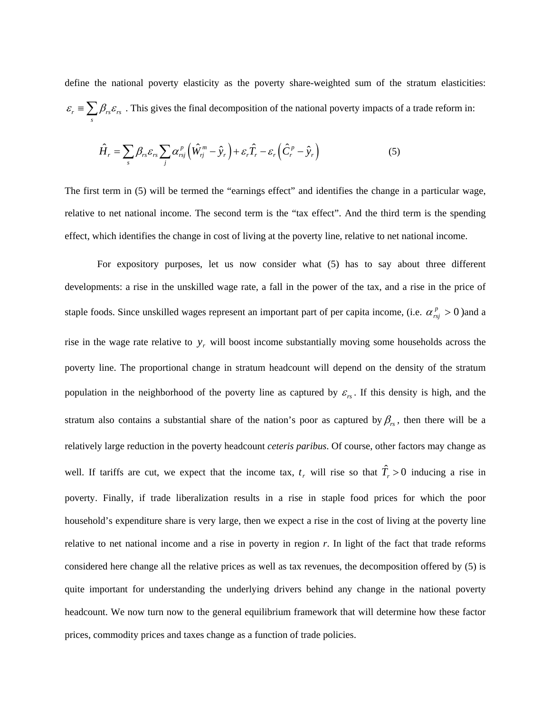define the national poverty elasticity as the poverty share-weighted sum of the stratum elasticities:  $r = \sum P_{rs} \sigma_{rs}$  $\varepsilon_r \equiv \sum_s \beta_{rs} \varepsilon_{rs}$ . This gives the final decomposition of the national poverty impacts of a trade reform in:

$$
\hat{H}_r = \sum_s \beta_{rs} \varepsilon_{rs} \sum_j \alpha_{rsj}^p \left( \hat{W}_{rj}^m - \hat{y}_r \right) + \varepsilon_r \hat{T}_r - \varepsilon_r \left( \hat{C}_r^p - \hat{y}_r \right)
$$
(5)

The first term in (5) will be termed the "earnings effect" and identifies the change in a particular wage, relative to net national income. The second term is the "tax effect". And the third term is the spending effect, which identifies the change in cost of living at the poverty line, relative to net national income.

For expository purposes, let us now consider what (5) has to say about three different developments: a rise in the unskilled wage rate, a fall in the power of the tax, and a rise in the price of staple foods. Since unskilled wages represent an important part of per capita income, (i.e.  $\alpha_{rs}^p > 0$ )and a rise in the wage rate relative to  $y_r$  will boost income substantially moving some households across the poverty line. The proportional change in stratum headcount will depend on the density of the stratum population in the neighborhood of the poverty line as captured by  $\varepsilon_{rs}$ . If this density is high, and the stratum also contains a substantial share of the nation's poor as captured by  $\beta_{rs}$ , then there will be a relatively large reduction in the poverty headcount *ceteris paribus*. Of course, other factors may change as well. If tariffs are cut, we expect that the income tax,  $t_r$  will rise so that  $\hat{T}_r > 0$  inducing a rise in poverty. Finally, if trade liberalization results in a rise in staple food prices for which the poor household's expenditure share is very large, then we expect a rise in the cost of living at the poverty line relative to net national income and a rise in poverty in region *r*. In light of the fact that trade reforms considered here change all the relative prices as well as tax revenues, the decomposition offered by (5) is quite important for understanding the underlying drivers behind any change in the national poverty headcount. We now turn now to the general equilibrium framework that will determine how these factor prices, commodity prices and taxes change as a function of trade policies.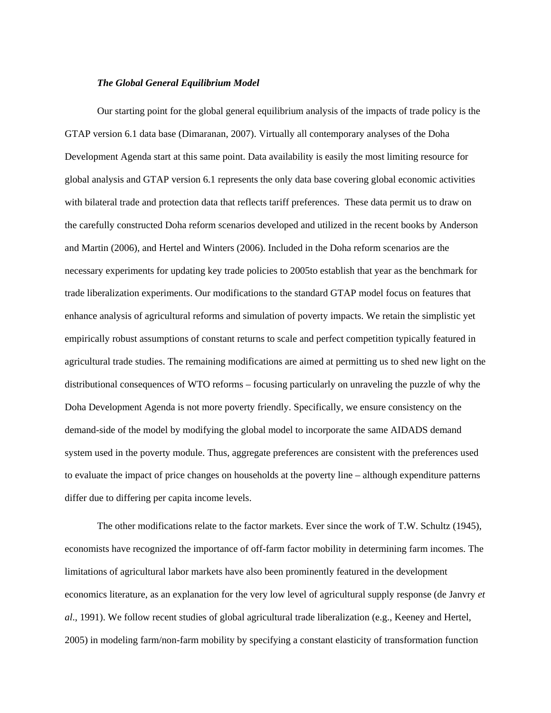#### *The Global General Equilibrium Model*

Our starting point for the global general equilibrium analysis of the impacts of trade policy is the GTAP version 6.1 data base (Dimaranan, 2007). Virtually all contemporary analyses of the Doha Development Agenda start at this same point. Data availability is easily the most limiting resource for global analysis and GTAP version 6.1 represents the only data base covering global economic activities with bilateral trade and protection data that reflects tariff preferences. These data permit us to draw on the carefully constructed Doha reform scenarios developed and utilized in the recent books by Anderson and Martin (2006), and Hertel and Winters (2006). Included in the Doha reform scenarios are the necessary experiments for updating key trade policies to 2005to establish that year as the benchmark for trade liberalization experiments. Our modifications to the standard GTAP model focus on features that enhance analysis of agricultural reforms and simulation of poverty impacts. We retain the simplistic yet empirically robust assumptions of constant returns to scale and perfect competition typically featured in agricultural trade studies. The remaining modifications are aimed at permitting us to shed new light on the distributional consequences of WTO reforms – focusing particularly on unraveling the puzzle of why the Doha Development Agenda is not more poverty friendly. Specifically, we ensure consistency on the demand-side of the model by modifying the global model to incorporate the same AIDADS demand system used in the poverty module. Thus, aggregate preferences are consistent with the preferences used to evaluate the impact of price changes on households at the poverty line – although expenditure patterns differ due to differing per capita income levels.

The other modifications relate to the factor markets. Ever since the work of T.W. Schultz (1945), economists have recognized the importance of off-farm factor mobility in determining farm incomes. The limitations of agricultural labor markets have also been prominently featured in the development economics literature, as an explanation for the very low level of agricultural supply response (de Janvry *et al*., 1991). We follow recent studies of global agricultural trade liberalization (e.g., Keeney and Hertel, 2005) in modeling farm/non-farm mobility by specifying a constant elasticity of transformation function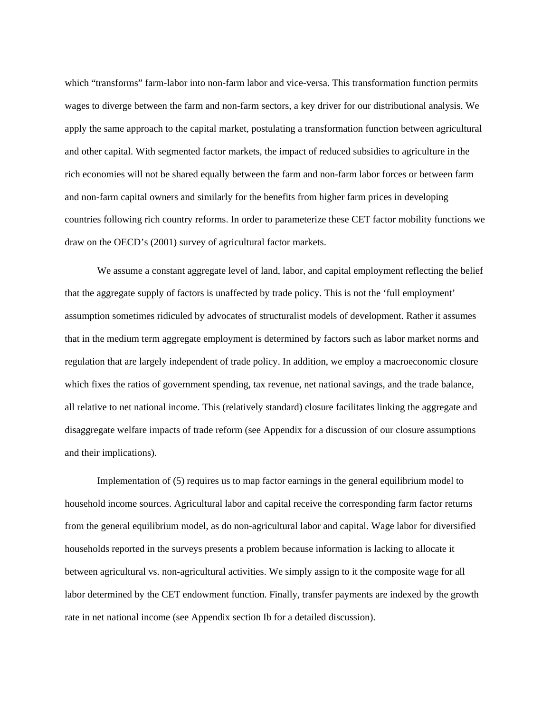which "transforms" farm-labor into non-farm labor and vice-versa. This transformation function permits wages to diverge between the farm and non-farm sectors, a key driver for our distributional analysis. We apply the same approach to the capital market, postulating a transformation function between agricultural and other capital. With segmented factor markets, the impact of reduced subsidies to agriculture in the rich economies will not be shared equally between the farm and non-farm labor forces or between farm and non-farm capital owners and similarly for the benefits from higher farm prices in developing countries following rich country reforms. In order to parameterize these CET factor mobility functions we draw on the OECD's (2001) survey of agricultural factor markets.

We assume a constant aggregate level of land, labor, and capital employment reflecting the belief that the aggregate supply of factors is unaffected by trade policy. This is not the 'full employment' assumption sometimes ridiculed by advocates of structuralist models of development. Rather it assumes that in the medium term aggregate employment is determined by factors such as labor market norms and regulation that are largely independent of trade policy. In addition, we employ a macroeconomic closure which fixes the ratios of government spending, tax revenue, net national savings, and the trade balance, all relative to net national income. This (relatively standard) closure facilitates linking the aggregate and disaggregate welfare impacts of trade reform (see Appendix for a discussion of our closure assumptions and their implications).

Implementation of (5) requires us to map factor earnings in the general equilibrium model to household income sources. Agricultural labor and capital receive the corresponding farm factor returns from the general equilibrium model, as do non-agricultural labor and capital. Wage labor for diversified households reported in the surveys presents a problem because information is lacking to allocate it between agricultural vs. non-agricultural activities. We simply assign to it the composite wage for all labor determined by the CET endowment function. Finally, transfer payments are indexed by the growth rate in net national income (see Appendix section Ib for a detailed discussion).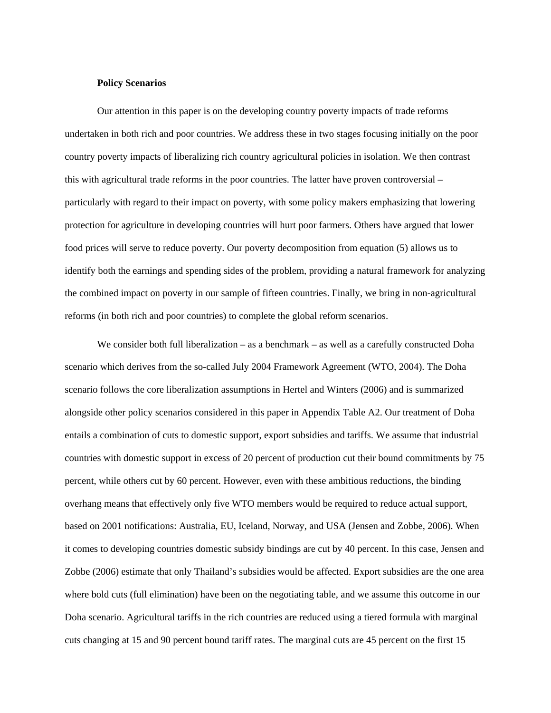### **Policy Scenarios**

Our attention in this paper is on the developing country poverty impacts of trade reforms undertaken in both rich and poor countries. We address these in two stages focusing initially on the poor country poverty impacts of liberalizing rich country agricultural policies in isolation. We then contrast this with agricultural trade reforms in the poor countries. The latter have proven controversial – particularly with regard to their impact on poverty, with some policy makers emphasizing that lowering protection for agriculture in developing countries will hurt poor farmers. Others have argued that lower food prices will serve to reduce poverty. Our poverty decomposition from equation (5) allows us to identify both the earnings and spending sides of the problem, providing a natural framework for analyzing the combined impact on poverty in our sample of fifteen countries. Finally, we bring in non-agricultural reforms (in both rich and poor countries) to complete the global reform scenarios.

We consider both full liberalization – as a benchmark – as well as a carefully constructed Doha scenario which derives from the so-called July 2004 Framework Agreement (WTO, 2004). The Doha scenario follows the core liberalization assumptions in Hertel and Winters (2006) and is summarized alongside other policy scenarios considered in this paper in Appendix Table A2. Our treatment of Doha entails a combination of cuts to domestic support, export subsidies and tariffs. We assume that industrial countries with domestic support in excess of 20 percent of production cut their bound commitments by 75 percent, while others cut by 60 percent. However, even with these ambitious reductions, the binding overhang means that effectively only five WTO members would be required to reduce actual support, based on 2001 notifications: Australia, EU, Iceland, Norway, and USA (Jensen and Zobbe, 2006). When it comes to developing countries domestic subsidy bindings are cut by 40 percent. In this case, Jensen and Zobbe (2006) estimate that only Thailand's subsidies would be affected. Export subsidies are the one area where bold cuts (full elimination) have been on the negotiating table, and we assume this outcome in our Doha scenario. Agricultural tariffs in the rich countries are reduced using a tiered formula with marginal cuts changing at 15 and 90 percent bound tariff rates. The marginal cuts are 45 percent on the first 15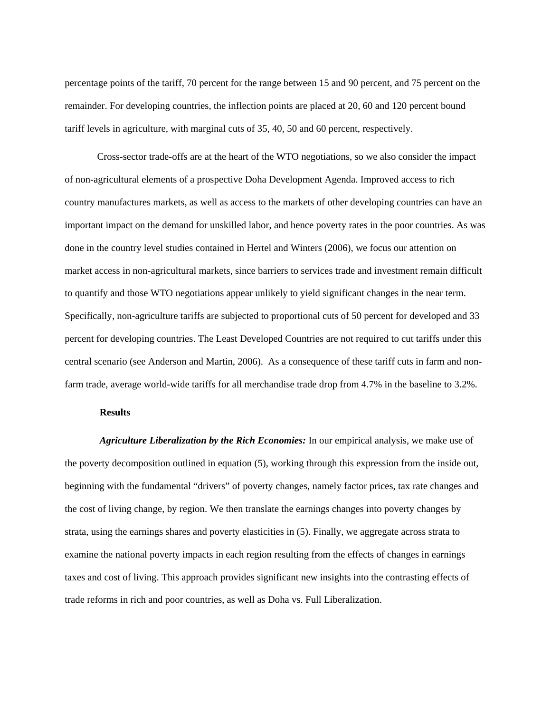percentage points of the tariff, 70 percent for the range between 15 and 90 percent, and 75 percent on the remainder. For developing countries, the inflection points are placed at 20, 60 and 120 percent bound tariff levels in agriculture, with marginal cuts of 35, 40, 50 and 60 percent, respectively.

Cross-sector trade-offs are at the heart of the WTO negotiations, so we also consider the impact of non-agricultural elements of a prospective Doha Development Agenda. Improved access to rich country manufactures markets, as well as access to the markets of other developing countries can have an important impact on the demand for unskilled labor, and hence poverty rates in the poor countries. As was done in the country level studies contained in Hertel and Winters (2006), we focus our attention on market access in non-agricultural markets, since barriers to services trade and investment remain difficult to quantify and those WTO negotiations appear unlikely to yield significant changes in the near term. Specifically, non-agriculture tariffs are subjected to proportional cuts of 50 percent for developed and 33 percent for developing countries. The Least Developed Countries are not required to cut tariffs under this central scenario (see Anderson and Martin, 2006). As a consequence of these tariff cuts in farm and nonfarm trade, average world-wide tariffs for all merchandise trade drop from 4.7% in the baseline to 3.2%.

#### **Results**

*Agriculture Liberalization by the Rich Economies:* In our empirical analysis, we make use of the poverty decomposition outlined in equation (5), working through this expression from the inside out, beginning with the fundamental "drivers" of poverty changes, namely factor prices, tax rate changes and the cost of living change, by region. We then translate the earnings changes into poverty changes by strata, using the earnings shares and poverty elasticities in (5). Finally, we aggregate across strata to examine the national poverty impacts in each region resulting from the effects of changes in earnings taxes and cost of living. This approach provides significant new insights into the contrasting effects of trade reforms in rich and poor countries, as well as Doha vs. Full Liberalization.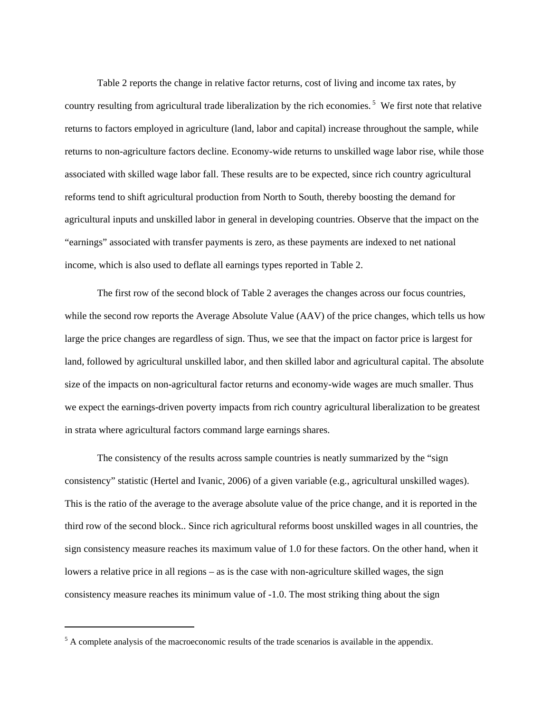Table 2 reports the change in relative factor returns, cost of living and income tax rates, by country resulting from agricultural trade liberalization by the rich economies.<sup>5</sup> We first note that relative returns to factors employed in agriculture (land, labor and capital) increase throughout the sample, while returns to non-agriculture factors decline. Economy-wide returns to unskilled wage labor rise, while those associated with skilled wage labor fall. These results are to be expected, since rich country agricultural reforms tend to shift agricultural production from North to South, thereby boosting the demand for agricultural inputs and unskilled labor in general in developing countries. Observe that the impact on the "earnings" associated with transfer payments is zero, as these payments are indexed to net national income, which is also used to deflate all earnings types reported in Table 2.

The first row of the second block of Table 2 averages the changes across our focus countries, while the second row reports the Average Absolute Value (AAV) of the price changes, which tells us how large the price changes are regardless of sign. Thus, we see that the impact on factor price is largest for land, followed by agricultural unskilled labor, and then skilled labor and agricultural capital. The absolute size of the impacts on non-agricultural factor returns and economy-wide wages are much smaller. Thus we expect the earnings-driven poverty impacts from rich country agricultural liberalization to be greatest in strata where agricultural factors command large earnings shares.

The consistency of the results across sample countries is neatly summarized by the "sign consistency" statistic (Hertel and Ivanic, 2006) of a given variable (e.g., agricultural unskilled wages). This is the ratio of the average to the average absolute value of the price change, and it is reported in the third row of the second block.. Since rich agricultural reforms boost unskilled wages in all countries, the sign consistency measure reaches its maximum value of 1.0 for these factors. On the other hand, when it lowers a relative price in all regions – as is the case with non-agriculture skilled wages, the sign consistency measure reaches its minimum value of -1.0. The most striking thing about the sign

 $\overline{a}$ 

 $<sup>5</sup>$  A complete analysis of the macroeconomic results of the trade scenarios is available in the appendix.</sup>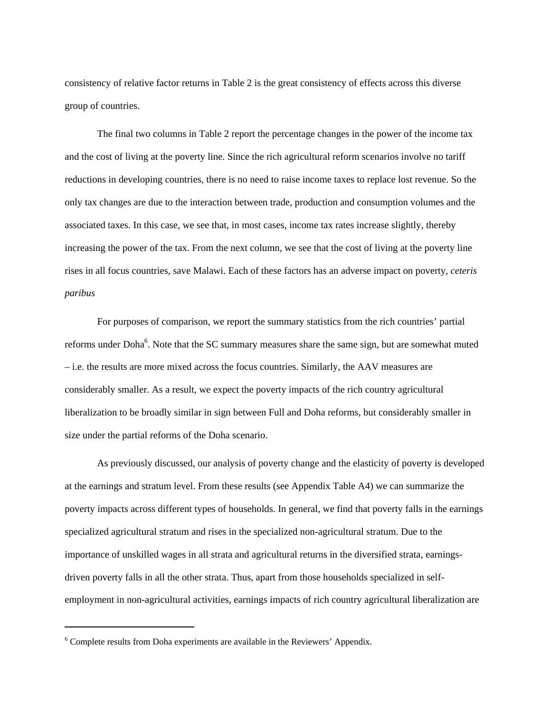consistency of relative factor returns in Table 2 is the great consistency of effects across this diverse group of countries.

The final two columns in Table 2 report the percentage changes in the power of the income tax and the cost of living at the poverty line. Since the rich agricultural reform scenarios involve no tariff reductions in developing countries, there is no need to raise income taxes to replace lost revenue. So the only tax changes are due to the interaction between trade, production and consumption volumes and the associated taxes. In this case, we see that, in most cases, income tax rates increase slightly, thereby increasing the power of the tax. From the next column, we see that the cost of living at the poverty line rises in all focus countries, save Malawi. Each of these factors has an adverse impact on poverty, *ceteris paribus* 

For purposes of comparison, we report the summary statistics from the rich countries' partial reforms under Doha<sup>6</sup>. Note that the SC summary measures share the same sign, but are somewhat muted – i.e. the results are more mixed across the focus countries. Similarly, the AAV measures are considerably smaller. As a result, we expect the poverty impacts of the rich country agricultural liberalization to be broadly similar in sign between Full and Doha reforms, but considerably smaller in size under the partial reforms of the Doha scenario.

As previously discussed, our analysis of poverty change and the elasticity of poverty is developed at the earnings and stratum level. From these results (see Appendix Table A4) we can summarize the poverty impacts across different types of households. In general, we find that poverty falls in the earnings specialized agricultural stratum and rises in the specialized non-agricultural stratum. Due to the importance of unskilled wages in all strata and agricultural returns in the diversified strata, earningsdriven poverty falls in all the other strata. Thus, apart from those households specialized in selfemployment in non-agricultural activities, earnings impacts of rich country agricultural liberalization are

 $\overline{a}$ 

<sup>&</sup>lt;sup>6</sup> Complete results from Doha experiments are available in the Reviewers' Appendix.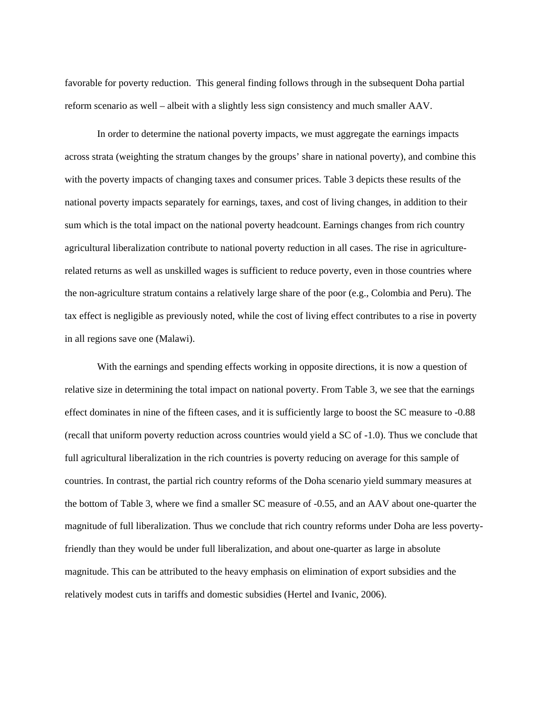favorable for poverty reduction. This general finding follows through in the subsequent Doha partial reform scenario as well – albeit with a slightly less sign consistency and much smaller AAV.

In order to determine the national poverty impacts, we must aggregate the earnings impacts across strata (weighting the stratum changes by the groups' share in national poverty), and combine this with the poverty impacts of changing taxes and consumer prices. Table 3 depicts these results of the national poverty impacts separately for earnings, taxes, and cost of living changes, in addition to their sum which is the total impact on the national poverty headcount. Earnings changes from rich country agricultural liberalization contribute to national poverty reduction in all cases. The rise in agriculturerelated returns as well as unskilled wages is sufficient to reduce poverty, even in those countries where the non-agriculture stratum contains a relatively large share of the poor (e.g., Colombia and Peru). The tax effect is negligible as previously noted, while the cost of living effect contributes to a rise in poverty in all regions save one (Malawi).

With the earnings and spending effects working in opposite directions, it is now a question of relative size in determining the total impact on national poverty. From Table 3, we see that the earnings effect dominates in nine of the fifteen cases, and it is sufficiently large to boost the SC measure to -0.88 (recall that uniform poverty reduction across countries would yield a SC of -1.0). Thus we conclude that full agricultural liberalization in the rich countries is poverty reducing on average for this sample of countries. In contrast, the partial rich country reforms of the Doha scenario yield summary measures at the bottom of Table 3, where we find a smaller SC measure of -0.55, and an AAV about one-quarter the magnitude of full liberalization. Thus we conclude that rich country reforms under Doha are less povertyfriendly than they would be under full liberalization, and about one-quarter as large in absolute magnitude. This can be attributed to the heavy emphasis on elimination of export subsidies and the relatively modest cuts in tariffs and domestic subsidies (Hertel and Ivanic, 2006).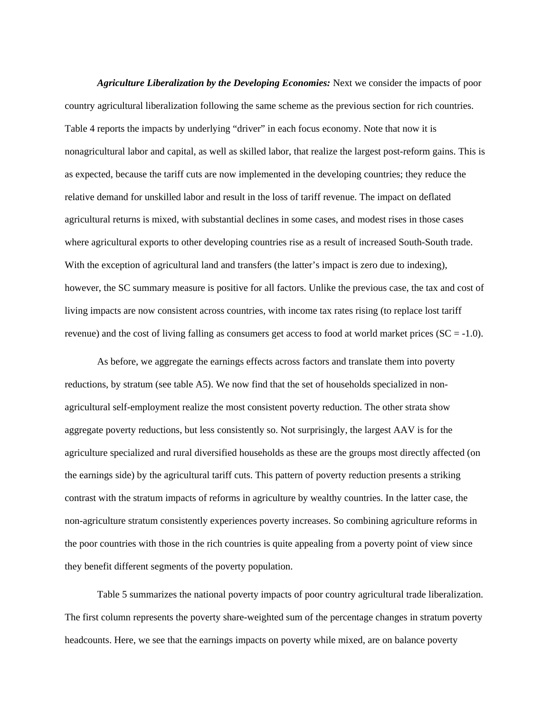*Agriculture Liberalization by the Developing Economies:* Next we consider the impacts of poor country agricultural liberalization following the same scheme as the previous section for rich countries. Table 4 reports the impacts by underlying "driver" in each focus economy. Note that now it is nonagricultural labor and capital, as well as skilled labor, that realize the largest post-reform gains. This is as expected, because the tariff cuts are now implemented in the developing countries; they reduce the relative demand for unskilled labor and result in the loss of tariff revenue. The impact on deflated agricultural returns is mixed, with substantial declines in some cases, and modest rises in those cases where agricultural exports to other developing countries rise as a result of increased South-South trade. With the exception of agricultural land and transfers (the latter's impact is zero due to indexing), however, the SC summary measure is positive for all factors. Unlike the previous case, the tax and cost of living impacts are now consistent across countries, with income tax rates rising (to replace lost tariff revenue) and the cost of living falling as consumers get access to food at world market prices  $(SC = -1.0)$ .

As before, we aggregate the earnings effects across factors and translate them into poverty reductions, by stratum (see table A5). We now find that the set of households specialized in nonagricultural self-employment realize the most consistent poverty reduction. The other strata show aggregate poverty reductions, but less consistently so. Not surprisingly, the largest AAV is for the agriculture specialized and rural diversified households as these are the groups most directly affected (on the earnings side) by the agricultural tariff cuts. This pattern of poverty reduction presents a striking contrast with the stratum impacts of reforms in agriculture by wealthy countries. In the latter case, the non-agriculture stratum consistently experiences poverty increases. So combining agriculture reforms in the poor countries with those in the rich countries is quite appealing from a poverty point of view since they benefit different segments of the poverty population.

Table 5 summarizes the national poverty impacts of poor country agricultural trade liberalization. The first column represents the poverty share-weighted sum of the percentage changes in stratum poverty headcounts. Here, we see that the earnings impacts on poverty while mixed, are on balance poverty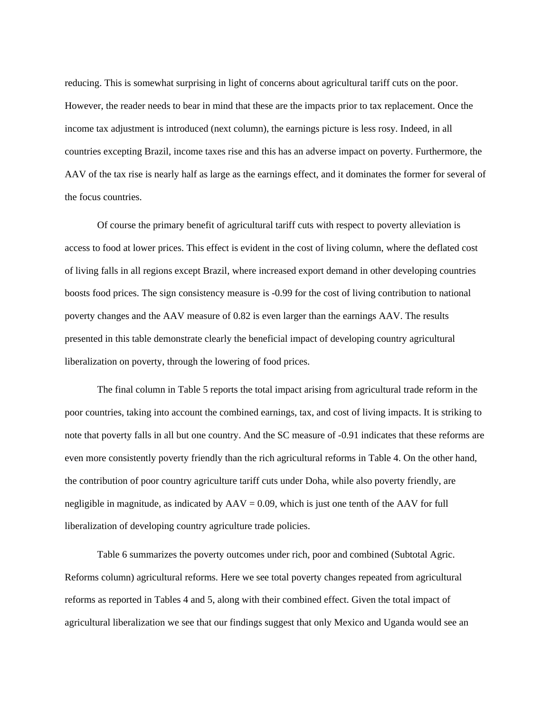reducing. This is somewhat surprising in light of concerns about agricultural tariff cuts on the poor. However, the reader needs to bear in mind that these are the impacts prior to tax replacement. Once the income tax adjustment is introduced (next column), the earnings picture is less rosy. Indeed, in all countries excepting Brazil, income taxes rise and this has an adverse impact on poverty. Furthermore, the AAV of the tax rise is nearly half as large as the earnings effect, and it dominates the former for several of the focus countries.

Of course the primary benefit of agricultural tariff cuts with respect to poverty alleviation is access to food at lower prices. This effect is evident in the cost of living column, where the deflated cost of living falls in all regions except Brazil, where increased export demand in other developing countries boosts food prices. The sign consistency measure is -0.99 for the cost of living contribution to national poverty changes and the AAV measure of 0.82 is even larger than the earnings AAV. The results presented in this table demonstrate clearly the beneficial impact of developing country agricultural liberalization on poverty, through the lowering of food prices.

The final column in Table 5 reports the total impact arising from agricultural trade reform in the poor countries, taking into account the combined earnings, tax, and cost of living impacts. It is striking to note that poverty falls in all but one country. And the SC measure of -0.91 indicates that these reforms are even more consistently poverty friendly than the rich agricultural reforms in Table 4. On the other hand, the contribution of poor country agriculture tariff cuts under Doha, while also poverty friendly, are negligible in magnitude, as indicated by  $AAV = 0.09$ , which is just one tenth of the  $AAV$  for full liberalization of developing country agriculture trade policies.

Table 6 summarizes the poverty outcomes under rich, poor and combined (Subtotal Agric. Reforms column) agricultural reforms. Here we see total poverty changes repeated from agricultural reforms as reported in Tables 4 and 5, along with their combined effect. Given the total impact of agricultural liberalization we see that our findings suggest that only Mexico and Uganda would see an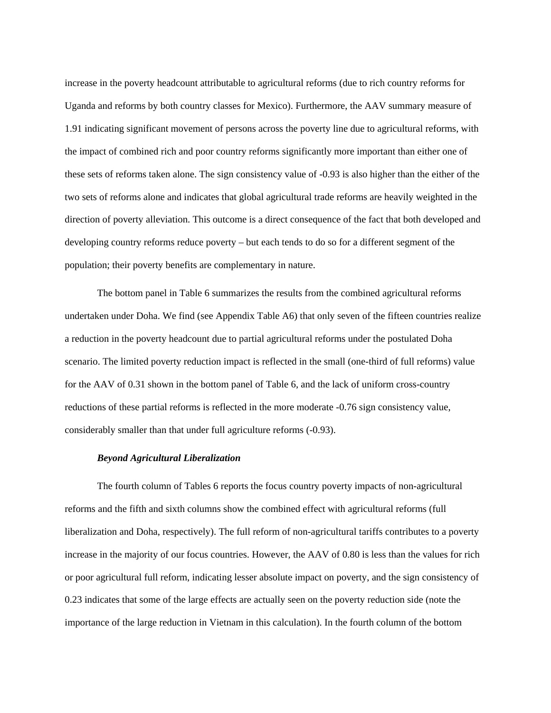increase in the poverty headcount attributable to agricultural reforms (due to rich country reforms for Uganda and reforms by both country classes for Mexico). Furthermore, the AAV summary measure of 1.91 indicating significant movement of persons across the poverty line due to agricultural reforms, with the impact of combined rich and poor country reforms significantly more important than either one of these sets of reforms taken alone. The sign consistency value of -0.93 is also higher than the either of the two sets of reforms alone and indicates that global agricultural trade reforms are heavily weighted in the direction of poverty alleviation. This outcome is a direct consequence of the fact that both developed and developing country reforms reduce poverty – but each tends to do so for a different segment of the population; their poverty benefits are complementary in nature.

The bottom panel in Table 6 summarizes the results from the combined agricultural reforms undertaken under Doha. We find (see Appendix Table A6) that only seven of the fifteen countries realize a reduction in the poverty headcount due to partial agricultural reforms under the postulated Doha scenario. The limited poverty reduction impact is reflected in the small (one-third of full reforms) value for the AAV of 0.31 shown in the bottom panel of Table 6, and the lack of uniform cross-country reductions of these partial reforms is reflected in the more moderate -0.76 sign consistency value, considerably smaller than that under full agriculture reforms (-0.93).

#### *Beyond Agricultural Liberalization*

The fourth column of Tables 6 reports the focus country poverty impacts of non-agricultural reforms and the fifth and sixth columns show the combined effect with agricultural reforms (full liberalization and Doha, respectively). The full reform of non-agricultural tariffs contributes to a poverty increase in the majority of our focus countries. However, the AAV of 0.80 is less than the values for rich or poor agricultural full reform, indicating lesser absolute impact on poverty, and the sign consistency of 0.23 indicates that some of the large effects are actually seen on the poverty reduction side (note the importance of the large reduction in Vietnam in this calculation). In the fourth column of the bottom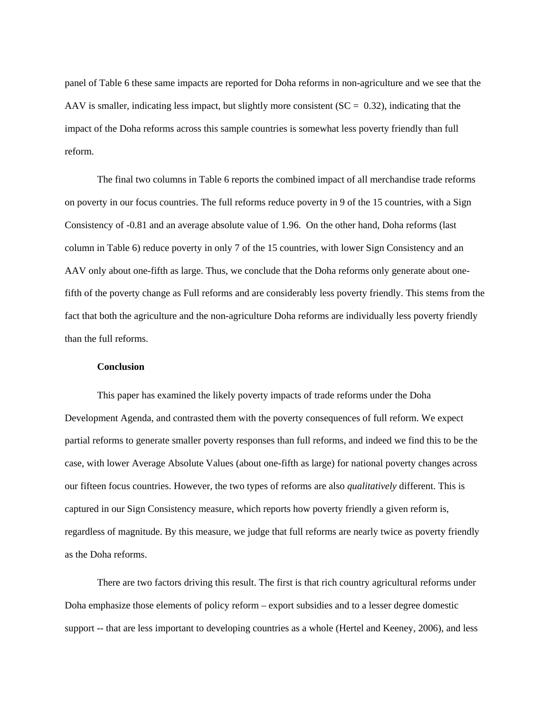panel of Table 6 these same impacts are reported for Doha reforms in non-agriculture and we see that the AAV is smaller, indicating less impact, but slightly more consistent ( $SC = 0.32$ ), indicating that the impact of the Doha reforms across this sample countries is somewhat less poverty friendly than full reform.

The final two columns in Table 6 reports the combined impact of all merchandise trade reforms on poverty in our focus countries. The full reforms reduce poverty in 9 of the 15 countries, with a Sign Consistency of -0.81 and an average absolute value of 1.96. On the other hand, Doha reforms (last column in Table 6) reduce poverty in only 7 of the 15 countries, with lower Sign Consistency and an AAV only about one-fifth as large. Thus, we conclude that the Doha reforms only generate about onefifth of the poverty change as Full reforms and are considerably less poverty friendly. This stems from the fact that both the agriculture and the non-agriculture Doha reforms are individually less poverty friendly than the full reforms.

## **Conclusion**

This paper has examined the likely poverty impacts of trade reforms under the Doha Development Agenda, and contrasted them with the poverty consequences of full reform. We expect partial reforms to generate smaller poverty responses than full reforms, and indeed we find this to be the case, with lower Average Absolute Values (about one-fifth as large) for national poverty changes across our fifteen focus countries. However, the two types of reforms are also *qualitatively* different. This is captured in our Sign Consistency measure, which reports how poverty friendly a given reform is, regardless of magnitude. By this measure, we judge that full reforms are nearly twice as poverty friendly as the Doha reforms.

There are two factors driving this result. The first is that rich country agricultural reforms under Doha emphasize those elements of policy reform – export subsidies and to a lesser degree domestic support -- that are less important to developing countries as a whole (Hertel and Keeney, 2006), and less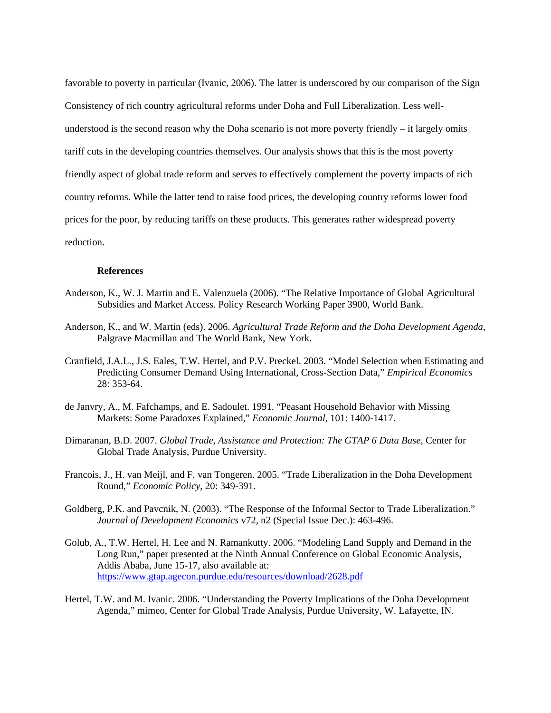favorable to poverty in particular (Ivanic, 2006). The latter is underscored by our comparison of the Sign Consistency of rich country agricultural reforms under Doha and Full Liberalization. Less wellunderstood is the second reason why the Doha scenario is not more poverty friendly – it largely omits tariff cuts in the developing countries themselves. Our analysis shows that this is the most poverty friendly aspect of global trade reform and serves to effectively complement the poverty impacts of rich country reforms. While the latter tend to raise food prices, the developing country reforms lower food prices for the poor, by reducing tariffs on these products. This generates rather widespread poverty reduction.

### **References**

- Anderson, K., W. J. Martin and E. Valenzuela (2006). "The Relative Importance of Global Agricultural Subsidies and Market Access. Policy Research Working Paper 3900, World Bank.
- Anderson, K., and W. Martin (eds). 2006. *Agricultural Trade Reform and the Doha Development Agenda*, Palgrave Macmillan and The World Bank, New York.
- Cranfield, J.A.L., J.S. Eales, T.W. Hertel, and P.V. Preckel. 2003. "Model Selection when Estimating and Predicting Consumer Demand Using International, Cross-Section Data," *Empirical Economics* 28: 353-64.
- de Janvry, A., M. Fafchamps, and E. Sadoulet. 1991. "Peasant Household Behavior with Missing Markets: Some Paradoxes Explained," *Economic Journal*, 101: 1400-1417.
- Dimaranan, B.D. 2007. *Global Trade, Assistance and Protection: The GTAP 6 Data Base*, Center for Global Trade Analysis, Purdue University.
- Francois, J., H. van Meijl, and F. van Tongeren. 2005. "Trade Liberalization in the Doha Development Round," *Economic Policy*, 20: 349-391.
- Goldberg, P.K. and Pavcnik, N. (2003). "The Response of the Informal Sector to Trade Liberalization." *Journal of Development Economics* v72, n2 (Special Issue Dec.): 463-496.
- Golub, A., T.W. Hertel, H. Lee and N. Ramankutty. 2006. "Modeling Land Supply and Demand in the Long Run," paper presented at the Ninth Annual Conference on Global Economic Analysis, Addis Ababa, June 15-17, also available at: https://www.gtap.agecon.purdue.edu/resources/download/2628.pdf
- Hertel, T.W. and M. Ivanic. 2006. "Understanding the Poverty Implications of the Doha Development Agenda," mimeo, Center for Global Trade Analysis, Purdue University, W. Lafayette, IN.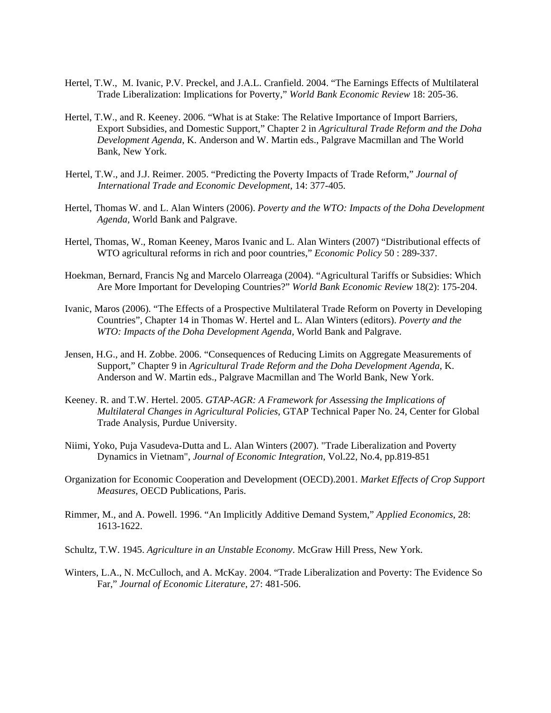- Hertel, T.W., M. Ivanic, P.V. Preckel, and J.A.L. Cranfield. 2004. "The Earnings Effects of Multilateral Trade Liberalization: Implications for Poverty," *World Bank Economic Review* 18: 205-36.
- Hertel, T.W., and R. Keeney. 2006. "What is at Stake: The Relative Importance of Import Barriers, Export Subsidies, and Domestic Support," Chapter 2 in *Agricultural Trade Reform and the Doha Development Agenda*, K. Anderson and W. Martin eds., Palgrave Macmillan and The World Bank, New York.
- Hertel, T.W., and J.J. Reimer. 2005. "Predicting the Poverty Impacts of Trade Reform," *Journal of International Trade and Economic Development*, 14: 377-405.
- Hertel, Thomas W. and L. Alan Winters (2006). *Poverty and the WTO: Impacts of the Doha Development Agenda,* World Bank and Palgrave.
- Hertel, Thomas, W., Roman Keeney, Maros Ivanic and L. Alan Winters (2007) "Distributional effects of WTO agricultural reforms in rich and poor countries," *Economic Policy* 50 : 289-337.
- Hoekman, Bernard, Francis Ng and Marcelo Olarreaga (2004). "Agricultural Tariffs or Subsidies: Which Are More Important for Developing Countries?" *World Bank Economic Review* 18(2): 175-204.
- Ivanic, Maros (2006). "The Effects of a Prospective Multilateral Trade Reform on Poverty in Developing Countries", Chapter 14 in Thomas W. Hertel and L. Alan Winters (editors). *Poverty and the WTO: Impacts of the Doha Development Agenda,* World Bank and Palgrave.
- Jensen, H.G., and H. Zobbe. 2006. "Consequences of Reducing Limits on Aggregate Measurements of Support," Chapter 9 in *Agricultural Trade Reform and the Doha Development Agenda*, K. Anderson and W. Martin eds., Palgrave Macmillan and The World Bank, New York.
- Keeney. R. and T.W. Hertel. 2005. *GTAP-AGR: A Framework for Assessing the Implications of Multilateral Changes in Agricultural Policies*, GTAP Technical Paper No. 24, Center for Global Trade Analysis, Purdue University.
- Niimi, Yoko, Puja Vasudeva-Dutta and L. Alan Winters (2007). "Trade Liberalization and Poverty Dynamics in Vietnam", *Journal of Economic Integration*, Vol.22, No.4, pp.819-851
- Organization for Economic Cooperation and Development (OECD).2001. *Market Effects of Crop Support Measures*, OECD Publications, Paris.
- Rimmer, M., and A. Powell. 1996. "An Implicitly Additive Demand System," *Applied Economics*, 28: 1613-1622.
- Schultz, T.W. 1945. *Agriculture in an Unstable Economy*. McGraw Hill Press, New York.
- Winters, L.A., N. McCulloch, and A. McKay. 2004. "Trade Liberalization and Poverty: The Evidence So Far," *Journal of Economic Literature*, 27: 481-506.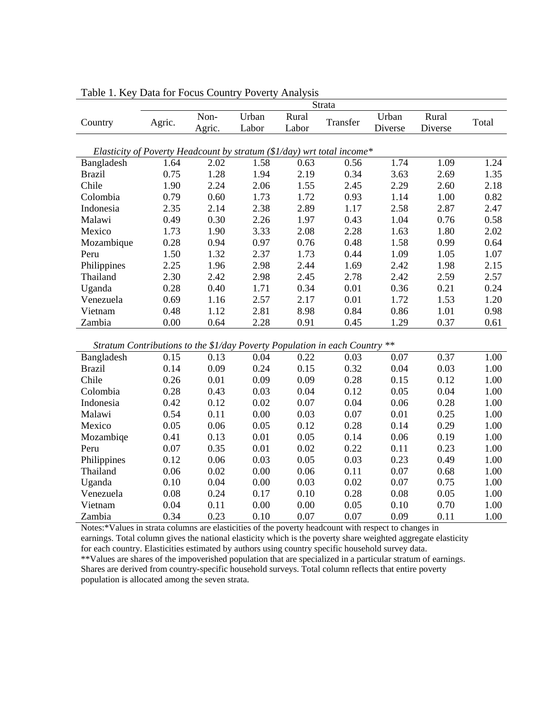|                                                                                                      | Strata                                                                     |                |                |                |          |                  |                  |       |  |  |
|------------------------------------------------------------------------------------------------------|----------------------------------------------------------------------------|----------------|----------------|----------------|----------|------------------|------------------|-------|--|--|
| Country                                                                                              | Agric.                                                                     | Non-<br>Agric. | Urban<br>Labor | Rural<br>Labor | Transfer | Urban<br>Diverse | Rural<br>Diverse | Total |  |  |
| Elasticity of Poverty Headcount by stratum ( $\frac{1}{day}$ ) wrt total income*                     |                                                                            |                |                |                |          |                  |                  |       |  |  |
| Bangladesh                                                                                           | 1.64                                                                       | 2.02           | 1.58           | 0.63           | 0.56     | 1.74             | 1.09             | 1.24  |  |  |
| <b>Brazil</b>                                                                                        | 0.75                                                                       | 1.28           | 1.94           | 2.19           | 0.34     | 3.63             | 2.69             | 1.35  |  |  |
| Chile                                                                                                | 1.90                                                                       | 2.24           | 2.06           | 1.55           | 2.45     | 2.29             | 2.60             | 2.18  |  |  |
| Colombia                                                                                             | 0.79                                                                       | 0.60           | 1.73           | 1.72           | 0.93     | 1.14             | 1.00             | 0.82  |  |  |
| Indonesia                                                                                            | 2.35                                                                       | 2.14           | 2.38           | 2.89           | 1.17     | 2.58             | 2.87             | 2.47  |  |  |
| Malawi                                                                                               | 0.49                                                                       | 0.30           | 2.26           | 1.97           | 0.43     | 1.04             | 0.76             | 0.58  |  |  |
| Mexico                                                                                               | 1.73                                                                       | 1.90           | 3.33           | 2.08           | 2.28     | 1.63             | 1.80             | 2.02  |  |  |
| Mozambique                                                                                           | 0.28                                                                       | 0.94           | 0.97           | 0.76           | 0.48     | 1.58             | 0.99             | 0.64  |  |  |
| Peru                                                                                                 | 1.50                                                                       | 1.32           | 2.37           | 1.73           | 0.44     | 1.09             | 1.05             | 1.07  |  |  |
| Philippines                                                                                          | 2.25                                                                       | 1.96           | 2.98           | 2.44           | 1.69     | 2.42             | 1.98             | 2.15  |  |  |
| Thailand                                                                                             | 2.30                                                                       | 2.42           | 2.98           | 2.45           | 2.78     | 2.42             | 2.59             | 2.57  |  |  |
| Uganda                                                                                               | 0.28                                                                       | 0.40           | 1.71           | 0.34           | 0.01     | 0.36             | 0.21             | 0.24  |  |  |
| Venezuela                                                                                            | 0.69                                                                       | 1.16           | 2.57           | 2.17           | 0.01     | 1.72             | 1.53             | 1.20  |  |  |
| Vietnam                                                                                              | 0.48                                                                       | 1.12           | 2.81           | 8.98           | 0.84     | 0.86             | 1.01             | 0.98  |  |  |
| Zambia                                                                                               | 0.00                                                                       | 0.64           | 2.28           | 0.91           | 0.45     | 1.29             | 0.37             | 0.61  |  |  |
|                                                                                                      | Stratum Contributions to the \$1/day Poverty Population in each Country ** |                |                |                |          |                  |                  |       |  |  |
| Bangladesh                                                                                           | 0.15                                                                       | 0.13           | 0.04           | 0.22           | 0.03     | 0.07             | 0.37             | 1.00  |  |  |
| <b>Brazil</b>                                                                                        | 0.14                                                                       | 0.09           | 0.24           | 0.15           | 0.32     | 0.04             | 0.03             | 1.00  |  |  |
| Chile                                                                                                | 0.26                                                                       | 0.01           | 0.09           | 0.09           | 0.28     | 0.15             | 0.12             | 1.00  |  |  |
| Colombia                                                                                             | 0.28                                                                       | 0.43           | 0.03           | 0.04           | 0.12     | 0.05             | 0.04             | 1.00  |  |  |
| Indonesia                                                                                            | 0.42                                                                       | 0.12           | 0.02           | 0.07           | 0.04     | 0.06             | 0.28             | 1.00  |  |  |
| Malawi                                                                                               | 0.54                                                                       | 0.11           | 0.00           | 0.03           | 0.07     | 0.01             | 0.25             | 1.00  |  |  |
| Mexico                                                                                               | 0.05                                                                       | 0.06           | 0.05           | 0.12           | 0.28     | 0.14             | 0.29             | 1.00  |  |  |
| Mozambiqe                                                                                            | 0.41                                                                       | 0.13           | 0.01           | 0.05           | 0.14     | 0.06             | 0.19             | 1.00  |  |  |
| Peru                                                                                                 | 0.07                                                                       | 0.35           | 0.01           | 0.02           | 0.22     | 0.11             | 0.23             | 1.00  |  |  |
|                                                                                                      | 0.12                                                                       | 0.06           | 0.03           | 0.05           | 0.03     | 0.23             | 0.49             | 1.00  |  |  |
| Philippines<br>Thailand                                                                              | 0.06                                                                       | 0.02           | 0.00           | 0.06           | 0.11     | 0.07             | 0.68             | 1.00  |  |  |
| Uganda                                                                                               | 0.10                                                                       | 0.04           | 0.00           | 0.03           | 0.02     | 0.07             | 0.75             | 1.00  |  |  |
| Venezuela                                                                                            | 0.08                                                                       | 0.24           | 0.17           | 0.10           | 0.28     | 0.08             | 0.05             | 1.00  |  |  |
| Vietnam                                                                                              | 0.04                                                                       | 0.11           | 0.00           | 0.00           | 0.05     | 0.10             | 0.70             | 1.00  |  |  |
| Zambia                                                                                               | 0.34                                                                       | 0.23           | 0.10           | 0.07           | 0.07     | 0.09             | 0.11             | 1.00  |  |  |
| Notes:*Values in strata columns are elasticities of the poverty headcount with respect to changes in |                                                                            |                |                |                |          |                  |                  |       |  |  |

Table 1. Key Data for Focus Country Poverty Analysis

earnings. Total column gives the national elasticity which is the poverty share weighted aggregate elasticity for each country. Elasticities estimated by authors using country specific household survey data. \*\*Values are shares of the impoverished population that are specialized in a particular stratum of earnings. Shares are derived from country-specific household surveys. Total column reflects that entire poverty population is allocated among the seven strata.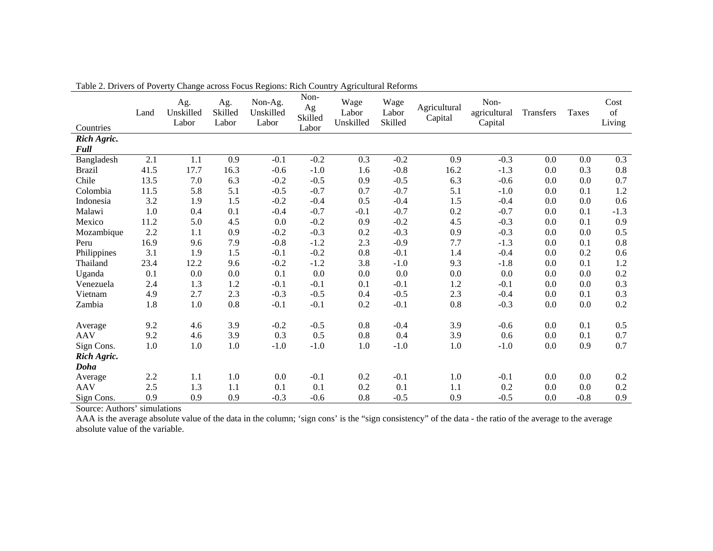| Countries     | Land    | Ag.<br>Unskilled<br>Labor | Ag.<br>Skilled<br>Labor | Non-Ag.<br>Unskilled<br>Labor | Non-<br>Ag<br>Skilled<br>Labor | Wage<br>Labor<br>Unskilled | Wage<br>Labor<br>Skilled | Agricultural<br>Capital | Non-<br>agricultural<br>Capital | Transfers | <b>Taxes</b> | Cost<br>of<br>Living |
|---------------|---------|---------------------------|-------------------------|-------------------------------|--------------------------------|----------------------------|--------------------------|-------------------------|---------------------------------|-----------|--------------|----------------------|
| Rich Agric.   |         |                           |                         |                               |                                |                            |                          |                         |                                 |           |              |                      |
| Full          |         |                           |                         |                               |                                |                            |                          |                         |                                 |           |              |                      |
| Bangladesh    | 2.1     | 1.1                       | 0.9                     | $-0.1$                        | $-0.2$                         | 0.3                        | $-0.2$                   | 0.9                     | $-0.3$                          | 0.0       | 0.0          | 0.3                  |
| <b>Brazil</b> | 41.5    | 17.7                      | 16.3                    | $-0.6$                        | $-1.0$                         | 1.6                        | $-0.8$                   | 16.2                    | $-1.3$                          | 0.0       | 0.3          | $0.8\,$              |
| Chile         | 13.5    | 7.0                       | 6.3                     | $-0.2$                        | $-0.5$                         | 0.9                        | $-0.5$                   | 6.3                     | $-0.6$                          | 0.0       | 0.0          | 0.7                  |
| Colombia      | 11.5    | 5.8                       | 5.1                     | $-0.5$                        | $-0.7$                         | 0.7                        | $-0.7$                   | 5.1                     | $-1.0$                          | 0.0       | 0.1          | 1.2                  |
| Indonesia     | 3.2     | 1.9                       | 1.5                     | $-0.2$                        | $-0.4$                         | 0.5                        | $-0.4$                   | 1.5                     | $-0.4$                          | 0.0       | 0.0          | 0.6                  |
| Malawi        | 1.0     | 0.4                       | 0.1                     | $-0.4$                        | $-0.7$                         | $-0.1$                     | $-0.7$                   | 0.2                     | $-0.7$                          | 0.0       | 0.1          | $-1.3$               |
| Mexico        | 11.2    | 5.0                       | 4.5                     | 0.0                           | $-0.2$                         | 0.9                        | $-0.2$                   | 4.5                     | $-0.3$                          | 0.0       | 0.1          | 0.9                  |
| Mozambique    | 2.2     | 1.1                       | 0.9                     | $-0.2$                        | $-0.3$                         | 0.2                        | $-0.3$                   | 0.9                     | $-0.3$                          | 0.0       | 0.0          | 0.5                  |
| Peru          | 16.9    | 9.6                       | 7.9                     | $-0.8$                        | $-1.2$                         | 2.3                        | $-0.9$                   | 7.7                     | $-1.3$                          | 0.0       | 0.1          | $0.8\,$              |
| Philippines   | 3.1     | 1.9                       | 1.5                     | $-0.1$                        | $-0.2$                         | 0.8                        | $-0.1$                   | 1.4                     | $-0.4$                          | 0.0       | 0.2          | 0.6                  |
| Thailand      | 23.4    | 12.2                      | 9.6                     | $-0.2$                        | $-1.2$                         | 3.8                        | $-1.0$                   | 9.3                     | $-1.8$                          | 0.0       | 0.1          | 1.2                  |
| Uganda        | 0.1     | 0.0                       | 0.0                     | 0.1                           | $0.0\,$                        | 0.0                        | 0.0                      | 0.0                     | $0.0\,$                         | 0.0       | 0.0          | $0.2\,$              |
| Venezuela     | 2.4     | 1.3                       | 1.2                     | $-0.1$                        | $-0.1$                         | 0.1                        | $-0.1$                   | 1.2                     | $-0.1$                          | 0.0       | 0.0          | 0.3                  |
| Vietnam       | 4.9     | 2.7                       | 2.3                     | $-0.3$                        | $-0.5$                         | 0.4                        | $-0.5$                   | 2.3                     | $-0.4$                          | 0.0       | 0.1          | 0.3                  |
| Zambia        | 1.8     | 1.0                       | $0.8\,$                 | $-0.1$                        | $-0.1$                         | 0.2                        | $-0.1$                   | 0.8                     | $-0.3$                          | 0.0       | 0.0          | 0.2                  |
| Average       | 9.2     | 4.6                       | 3.9                     | $-0.2$                        | $-0.5$                         | 0.8                        | $-0.4$                   | 3.9                     | $-0.6$                          | 0.0       | 0.1          | 0.5                  |
| <b>AAV</b>    | 9.2     | 4.6                       | 3.9                     | 0.3                           | 0.5                            | 0.8                        | 0.4                      | 3.9                     | 0.6                             | 0.0       | 0.1          | 0.7                  |
| Sign Cons.    | $1.0\,$ | 1.0                       | 1.0                     | $-1.0$                        | $-1.0$                         | 1.0                        | $-1.0$                   | 1.0                     | $-1.0$                          | 0.0       | 0.9          | 0.7                  |
| Rich Agric.   |         |                           |                         |                               |                                |                            |                          |                         |                                 |           |              |                      |
| Doha          |         |                           |                         |                               |                                |                            |                          |                         |                                 |           |              |                      |
| Average       | 2.2     | 1.1                       | 1.0                     | 0.0                           | $-0.1$                         | 0.2                        | $-0.1$                   | 1.0                     | $-0.1$                          | 0.0       | 0.0          | 0.2                  |
| <b>AAV</b>    | 2.5     | 1.3                       | 1.1                     | 0.1                           | 0.1                            | 0.2                        | 0.1                      | 1.1                     | 0.2                             | 0.0       | 0.0          | 0.2                  |
| Sign Cons.    | 0.9     | 0.9                       | 0.9                     | $-0.3$                        | $-0.6$                         | 0.8                        | $-0.5$                   | 0.9                     | $-0.5$                          | 0.0       | $-0.8$       | 0.9                  |

Table 2. Drivers of Poverty Change across Focus Regions: Rich Country Agricultural Reforms

AAA is the average absolute value of the data in the column; 'sign cons' is the "sign consistency" of the data - the ratio of the average to the average absolute value of the variable.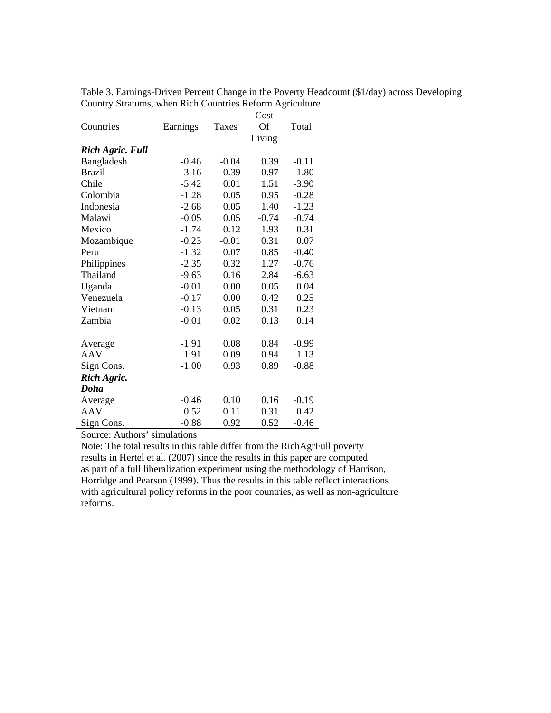|                         |          |         | Cost      |         |
|-------------------------|----------|---------|-----------|---------|
| Countries               | Earnings | Taxes   | <b>Of</b> | Total   |
|                         |          |         | Living    |         |
| <b>Rich Agric. Full</b> |          |         |           |         |
| Bangladesh              | $-0.46$  | $-0.04$ | 0.39      | $-0.11$ |
| <b>Brazil</b>           | $-3.16$  | 0.39    | 0.97      | $-1.80$ |
| Chile                   | $-5.42$  | 0.01    | 1.51      | $-3.90$ |
| Colombia                | $-1.28$  | 0.05    | 0.95      | $-0.28$ |
| Indonesia               | $-2.68$  | 0.05    | 1.40      | $-1.23$ |
| Malawi                  | $-0.05$  | 0.05    | $-0.74$   | $-0.74$ |
| Mexico                  | $-1.74$  | 0.12    | 1.93      | 0.31    |
| Mozambique              | $-0.23$  | $-0.01$ | 0.31      | 0.07    |
| Peru                    | $-1.32$  | 0.07    | 0.85      | $-0.40$ |
| Philippines             | $-2.35$  | 0.32    | 1.27      | $-0.76$ |
| Thailand                | $-9.63$  | 0.16    | 2.84      | $-6.63$ |
| Uganda                  | $-0.01$  | 0.00    | 0.05      | 0.04    |
| Venezuela               | $-0.17$  | 0.00    | 0.42      | 0.25    |
| Vietnam                 | $-0.13$  | 0.05    | 0.31      | 0.23    |
| Zambia                  | $-0.01$  | 0.02    | 0.13      | 0.14    |
|                         |          |         |           |         |
| Average                 | $-1.91$  | 0.08    | 0.84      | $-0.99$ |
| <b>AAV</b>              | 1.91     | 0.09    | 0.94      | 1.13    |
| Sign Cons.              | $-1.00$  | 0.93    | 0.89      | $-0.88$ |
| Rich Agric.             |          |         |           |         |
| Doha                    |          |         |           |         |
| Average                 | $-0.46$  | 0.10    | 0.16      | $-0.19$ |
| <b>AAV</b>              | 0.52     | 0.11    | 0.31      | 0.42    |
| Sign Cons.              | $-0.88$  | 0.92    | 0.52      | $-0.46$ |

Table 3. Earnings-Driven Percent Change in the Poverty Headcount (\$1/day) across Developing Country Stratums, when Rich Countries Reform Agriculture

Note: The total results in this table differ from the RichAgrFull poverty results in Hertel et al. (2007) since the results in this paper are computed as part of a full liberalization experiment using the methodology of Harrison, Horridge and Pearson (1999). Thus the results in this table reflect interactions with agricultural policy reforms in the poor countries, as well as non-agriculture reforms.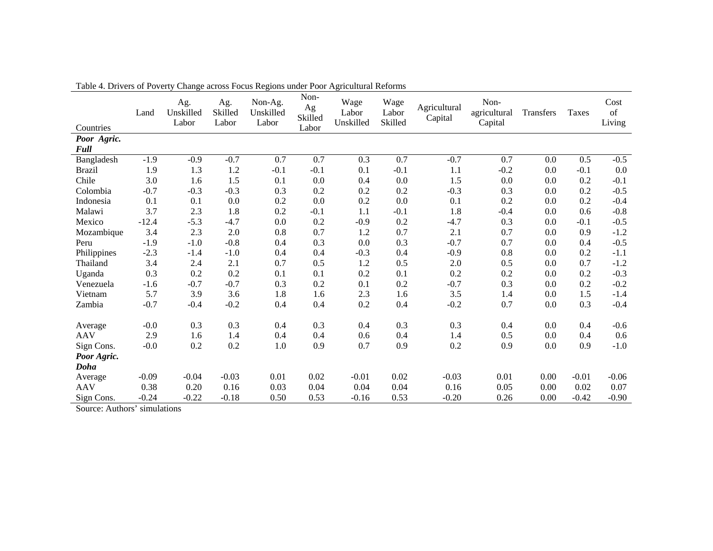| $1.010 \div 1.011 \times 1.011 \times 1.011$<br>Countries | Land    | Ag.<br>Unskilled<br>Labor | Ag.<br>Skilled<br>Labor | Change across I ocus regions under I oor rightenum reforms<br>Non-Ag.<br>Unskilled<br>Labor | Non-<br>Ag<br>Skilled<br>Labor | Wage<br>Labor<br>Unskilled | Wage<br>Labor<br>Skilled | Agricultural<br>Capital | Non-<br>agricultural<br>Capital | Transfers | <b>Taxes</b> | Cost<br>of<br>Living |
|-----------------------------------------------------------|---------|---------------------------|-------------------------|---------------------------------------------------------------------------------------------|--------------------------------|----------------------------|--------------------------|-------------------------|---------------------------------|-----------|--------------|----------------------|
| Poor Agric.                                               |         |                           |                         |                                                                                             |                                |                            |                          |                         |                                 |           |              |                      |
| Full                                                      |         |                           |                         |                                                                                             |                                |                            |                          |                         |                                 |           |              |                      |
| Bangladesh                                                | $-1.9$  | $-0.9$                    | $-0.7$                  | 0.7                                                                                         | 0.7                            | 0.3                        | 0.7                      | $-0.7$                  | 0.7                             | 0.0       | 0.5          | $-0.5$               |
| <b>Brazil</b>                                             | 1.9     | 1.3                       | 1.2                     | $-0.1$                                                                                      | $-0.1$                         | 0.1                        | $-0.1$                   | 1.1                     | $-0.2$                          | 0.0       | $-0.1$       | 0.0                  |
| Chile                                                     | 3.0     | 1.6                       | 1.5                     | 0.1                                                                                         | 0.0                            | 0.4                        | 0.0                      | 1.5                     | 0.0                             | 0.0       | 0.2          | $-0.1$               |
| Colombia                                                  | $-0.7$  | $-0.3$                    | $-0.3$                  | 0.3                                                                                         | 0.2                            | 0.2                        | $0.2\,$                  | $-0.3$                  | 0.3                             | 0.0       | 0.2          | $-0.5$               |
| Indonesia                                                 | 0.1     | 0.1                       | 0.0                     | 0.2                                                                                         | 0.0                            | 0.2                        | 0.0                      | 0.1                     | 0.2                             | 0.0       | 0.2          | $-0.4$               |
| Malawi                                                    | 3.7     | 2.3                       | 1.8                     | 0.2                                                                                         | $-0.1$                         | 1.1                        | $-0.1$                   | 1.8                     | $-0.4$                          | 0.0       | 0.6          | $-0.8$               |
| Mexico                                                    | $-12.4$ | $-5.3$                    | $-4.7$                  | 0.0                                                                                         | 0.2                            | $-0.9$                     | 0.2                      | $-4.7$                  | 0.3                             | 0.0       | $-0.1$       | $-0.5$               |
| Mozambique                                                | 3.4     | 2.3                       | $2.0\,$                 | $0.8\,$                                                                                     | 0.7                            | 1.2                        | $0.7\,$                  | 2.1                     | 0.7                             | 0.0       | 0.9          | $-1.2$               |
| Peru                                                      | $-1.9$  | $-1.0$                    | $-0.8$                  | 0.4                                                                                         | 0.3                            | 0.0                        | 0.3                      | $-0.7$                  | 0.7                             | 0.0       | 0.4          | $-0.5$               |
| Philippines                                               | $-2.3$  | $-1.4$                    | $-1.0$                  | 0.4                                                                                         | $0.4\,$                        | $-0.3$                     | 0.4                      | $-0.9$                  | $0.8\,$                         | 0.0       | 0.2          | $-1.1$               |
| Thailand                                                  | 3.4     | 2.4                       | 2.1                     | 0.7                                                                                         | 0.5                            | 1.2                        | 0.5                      | 2.0                     | 0.5                             | 0.0       | 0.7          | $-1.2$               |
| Uganda                                                    | 0.3     | 0.2                       | 0.2                     | 0.1                                                                                         | 0.1                            | 0.2                        | 0.1                      | 0.2                     | 0.2                             | 0.0       | 0.2          | $-0.3$               |
| Venezuela                                                 | $-1.6$  | $-0.7$                    | $-0.7$                  | 0.3                                                                                         | 0.2                            | 0.1                        | 0.2                      | $-0.7$                  | 0.3                             | 0.0       | 0.2          | $-0.2$               |
| Vietnam                                                   | 5.7     | 3.9                       | 3.6                     | 1.8                                                                                         | 1.6                            | 2.3                        | 1.6                      | 3.5                     | 1.4                             | 0.0       | 1.5          | $-1.4$               |
| Zambia                                                    | $-0.7$  | $-0.4$                    | $-0.2$                  | 0.4                                                                                         | 0.4                            | 0.2                        | 0.4                      | $-0.2$                  | 0.7                             | 0.0       | 0.3          | $-0.4$               |
| Average                                                   | $-0.0$  | 0.3                       | 0.3                     | 0.4                                                                                         | 0.3                            | 0.4                        | 0.3                      | 0.3                     | 0.4                             | 0.0       | 0.4          | $-0.6$               |
| <b>AAV</b>                                                | 2.9     | 1.6                       | 1.4                     | 0.4                                                                                         | 0.4                            | 0.6                        | 0.4                      | 1.4                     | 0.5                             | 0.0       | 0.4          | 0.6                  |
| Sign Cons.                                                | $-0.0$  | 0.2                       | $0.2\,$                 | 1.0                                                                                         | 0.9                            | 0.7                        | 0.9                      | 0.2                     | 0.9                             | 0.0       | 0.9          | $-1.0$               |
| Poor Agric.                                               |         |                           |                         |                                                                                             |                                |                            |                          |                         |                                 |           |              |                      |
| Doha                                                      |         |                           |                         |                                                                                             |                                |                            |                          |                         |                                 |           |              |                      |
| Average                                                   | $-0.09$ | $-0.04$                   | $-0.03$                 | 0.01                                                                                        | 0.02                           | $-0.01$                    | 0.02                     | $-0.03$                 | 0.01                            | 0.00      | $-0.01$      | $-0.06$              |
| <b>AAV</b>                                                | 0.38    | 0.20                      | 0.16                    | 0.03                                                                                        | 0.04                           | 0.04                       | 0.04                     | 0.16                    | 0.05                            | 0.00      | 0.02         | 0.07                 |
| Sign Cons.                                                | $-0.24$ | $-0.22$                   | $-0.18$                 | 0.50                                                                                        | 0.53                           | $-0.16$                    | 0.53                     | $-0.20$                 | 0.26                            | 0.00      | $-0.42$      | $-0.90$              |

Table 4. Drivers of Poverty Change across Focus Regions under Poor Agricultural Reforms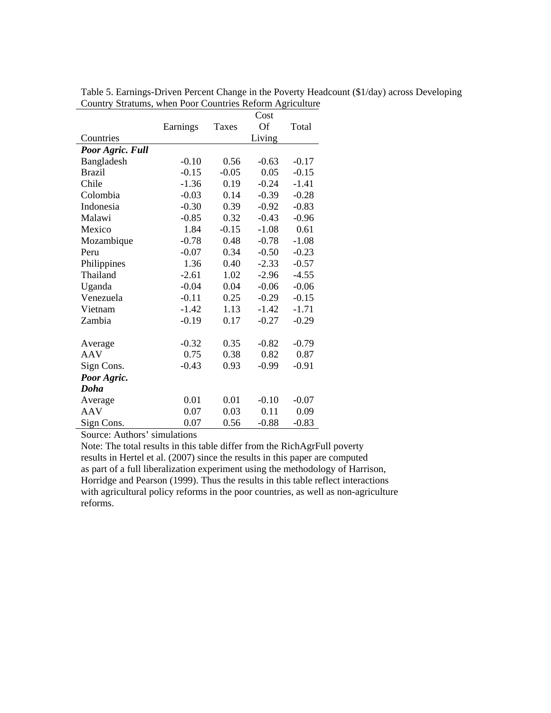|                       |          | Cost    |         |         |
|-----------------------|----------|---------|---------|---------|
|                       | Earnings | Taxes   | Of      | Total   |
| Countries             |          |         | Living  |         |
| Poor Agric. Full      |          |         |         |         |
| Bangladesh            | $-0.10$  | 0.56    | $-0.63$ | $-0.17$ |
| <b>Brazil</b>         | $-0.15$  | $-0.05$ | 0.05    | $-0.15$ |
| Chile                 | $-1.36$  | 0.19    | $-0.24$ | $-1.41$ |
| Colombia              | $-0.03$  | 0.14    | $-0.39$ | $-0.28$ |
| Indonesia             | $-0.30$  | 0.39    | $-0.92$ | $-0.83$ |
| Malawi                | $-0.85$  | 0.32    | $-0.43$ | $-0.96$ |
| Mexico                | 1.84     | $-0.15$ | $-1.08$ | 0.61    |
| Mozambique            | $-0.78$  | 0.48    | $-0.78$ | $-1.08$ |
| Peru                  | $-0.07$  | 0.34    | $-0.50$ | $-0.23$ |
| Philippines           | 1.36     | 0.40    | $-2.33$ | $-0.57$ |
| Thailand              | $-2.61$  | 1.02    | $-2.96$ | $-4.55$ |
| Uganda                | $-0.04$  | 0.04    | $-0.06$ | $-0.06$ |
| Venezuela             | $-0.11$  | 0.25    | $-0.29$ | $-0.15$ |
| Vietnam               | $-1.42$  | 1.13    | $-1.42$ | $-1.71$ |
| Zambia                | $-0.19$  | 0.17    | $-0.27$ | $-0.29$ |
|                       | $-0.32$  | 0.35    | $-0.82$ | $-0.79$ |
| Average<br><b>AAV</b> | 0.75     | 0.38    | 0.82    | 0.87    |
|                       |          |         | $-0.99$ | $-0.91$ |
| Sign Cons.            | $-0.43$  | 0.93    |         |         |
| Poor Agric.           |          |         |         |         |
| Doha                  |          |         |         |         |
| Average               | 0.01     | 0.01    | $-0.10$ | $-0.07$ |
| AAV                   | 0.07     | 0.03    | 0.11    | 0.09    |
| Sign Cons.            | 0.07     | 0.56    | $-0.88$ | $-0.83$ |

Table 5. Earnings-Driven Percent Change in the Poverty Headcount (\$1/day) across Developing Country Stratums, when Poor Countries Reform Agriculture

Note: The total results in this table differ from the RichAgrFull poverty results in Hertel et al. (2007) since the results in this paper are computed as part of a full liberalization experiment using the methodology of Harrison, Horridge and Pearson (1999). Thus the results in this table reflect interactions with agricultural policy reforms in the poor countries, as well as non-agriculture reforms.